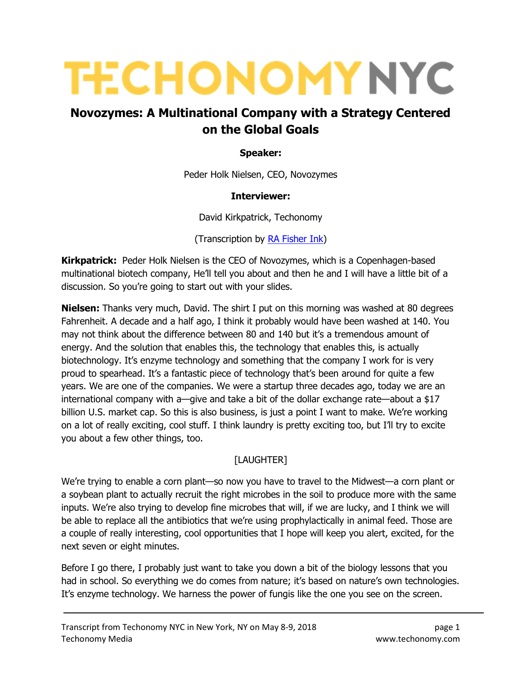# **TECHONOMY NYC**

# Novozymes: A Multinational Company with a Strategy Centered on the Global Goals

#### Speaker:

Peder Holk Nielsen, CEO, Novozymes

#### Interviewer:

David Kirkpatrick, Techonomy

(Transcription by RA Fisher Ink)

**Kirkpatrick:** Peder Holk Nielsen is the CEO of Novozymes, which is a Copenhagen-based multinational biotech company, He'll tell you about and then he and I will have a little bit of a discussion. So you're going to start out with your slides.

**Nielsen:** Thanks very much, David. The shirt I put on this morning was washed at 80 degrees Fahrenheit. A decade and a half ago, I think it probably would have been washed at 140. You may not think about the difference between 80 and 140 but it's a tremendous amount of energy. And the solution that enables this, the technology that enables this, is actually biotechnology. It's enzyme technology and something that the company I work for is very proud to spearhead. It's a fantastic piece of technology that's been around for quite a few years. We are one of the companies. We were a startup three decades ago, today we are an international company with a—give and take a bit of the dollar exchange rate—about a \$17 billion U.S. market cap. So this is also business, is just a point I want to make. We're working on a lot of really exciting, cool stuff. I think laundry is pretty exciting too, but I'll try to excite you about a few other things, too.

# [LAUGHTER]

We're trying to enable a corn plant—so now you have to travel to the Midwest—a corn plant or a soybean plant to actually recruit the right microbes in the soil to produce more with the same inputs. We're also trying to develop fine microbes that will, if we are lucky, and I think we will be able to replace all the antibiotics that we're using prophylactically in animal feed. Those are a couple of really interesting, cool opportunities that I hope will keep you alert, excited, for the next seven or eight minutes.

Before I go there, I probably just want to take you down a bit of the biology lessons that you had in school. So everything we do comes from nature; it's based on nature's own technologies. It's enzyme technology. We harness the power of fungis like the one you see on the screen.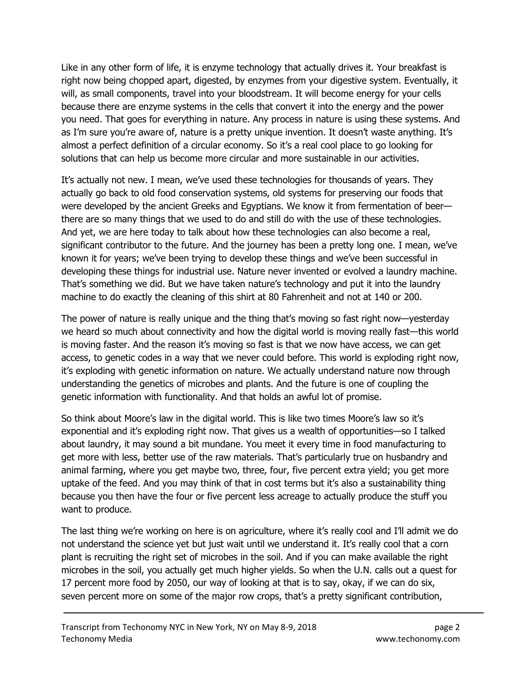Like in any other form of life, it is enzyme technology that actually drives it. Your breakfast is right now being chopped apart, digested, by enzymes from your digestive system. Eventually, it will, as small components, travel into your bloodstream. It will become energy for your cells because there are enzyme systems in the cells that convert it into the energy and the power you need. That goes for everything in nature. Any process in nature is using these systems. And as I'm sure you're aware of, nature is a pretty unique invention. It doesn't waste anything. It's almost a perfect definition of a circular economy. So it's a real cool place to go looking for solutions that can help us become more circular and more sustainable in our activities.

It's actually not new. I mean, we've used these technologies for thousands of years. They actually go back to old food conservation systems, old systems for preserving our foods that were developed by the ancient Greeks and Egyptians. We know it from fermentation of beer there are so many things that we used to do and still do with the use of these technologies. And yet, we are here today to talk about how these technologies can also become a real, significant contributor to the future. And the journey has been a pretty long one. I mean, we've known it for years; we've been trying to develop these things and we've been successful in developing these things for industrial use. Nature never invented or evolved a laundry machine. That's something we did. But we have taken nature's technology and put it into the laundry machine to do exactly the cleaning of this shirt at 80 Fahrenheit and not at 140 or 200.

The power of nature is really unique and the thing that's moving so fast right now—yesterday we heard so much about connectivity and how the digital world is moving really fast—this world is moving faster. And the reason it's moving so fast is that we now have access, we can get access, to genetic codes in a way that we never could before. This world is exploding right now, it's exploding with genetic information on nature. We actually understand nature now through understanding the genetics of microbes and plants. And the future is one of coupling the genetic information with functionality. And that holds an awful lot of promise.

So think about Moore's law in the digital world. This is like two times Moore's law so it's exponential and it's exploding right now. That gives us a wealth of opportunities—so I talked about laundry, it may sound a bit mundane. You meet it every time in food manufacturing to get more with less, better use of the raw materials. That's particularly true on husbandry and animal farming, where you get maybe two, three, four, five percent extra yield; you get more uptake of the feed. And you may think of that in cost terms but it's also a sustainability thing because you then have the four or five percent less acreage to actually produce the stuff you want to produce.

The last thing we're working on here is on agriculture, where it's really cool and I'll admit we do not understand the science yet but just wait until we understand it. It's really cool that a corn plant is recruiting the right set of microbes in the soil. And if you can make available the right microbes in the soil, you actually get much higher yields. So when the U.N. calls out a quest for 17 percent more food by 2050, our way of looking at that is to say, okay, if we can do six, seven percent more on some of the major row crops, that's a pretty significant contribution,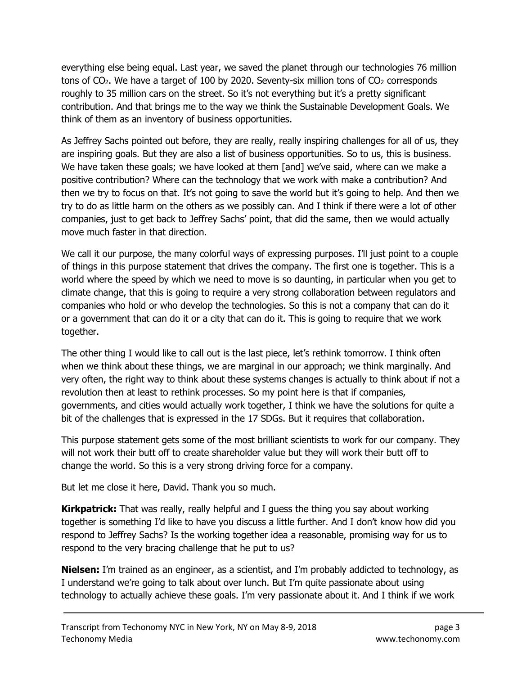everything else being equal. Last year, we saved the planet through our technologies 76 million tons of  $CO<sub>2</sub>$ . We have a target of 100 by 2020. Seventy-six million tons of  $CO<sub>2</sub>$  corresponds roughly to 35 million cars on the street. So it's not everything but it's a pretty significant contribution. And that brings me to the way we think the Sustainable Development Goals. We think of them as an inventory of business opportunities.

As Jeffrey Sachs pointed out before, they are really, really inspiring challenges for all of us, they are inspiring goals. But they are also a list of business opportunities. So to us, this is business. We have taken these goals; we have looked at them [and] we've said, where can we make a positive contribution? Where can the technology that we work with make a contribution? And then we try to focus on that. It's not going to save the world but it's going to help. And then we try to do as little harm on the others as we possibly can. And I think if there were a lot of other companies, just to get back to Jeffrey Sachs' point, that did the same, then we would actually move much faster in that direction.

We call it our purpose, the many colorful ways of expressing purposes. I'll just point to a couple of things in this purpose statement that drives the company. The first one is together. This is a world where the speed by which we need to move is so daunting, in particular when you get to climate change, that this is going to require a very strong collaboration between regulators and companies who hold or who develop the technologies. So this is not a company that can do it or a government that can do it or a city that can do it. This is going to require that we work together.

The other thing I would like to call out is the last piece, let's rethink tomorrow. I think often when we think about these things, we are marginal in our approach; we think marginally. And very often, the right way to think about these systems changes is actually to think about if not a revolution then at least to rethink processes. So my point here is that if companies, governments, and cities would actually work together, I think we have the solutions for quite a bit of the challenges that is expressed in the 17 SDGs. But it requires that collaboration.

This purpose statement gets some of the most brilliant scientists to work for our company. They will not work their butt off to create shareholder value but they will work their butt off to change the world. So this is a very strong driving force for a company.

But let me close it here, David. Thank you so much.

**Kirkpatrick:** That was really, really helpful and I guess the thing you say about working together is something I'd like to have you discuss a little further. And I don't know how did you respond to Jeffrey Sachs? Is the working together idea a reasonable, promising way for us to respond to the very bracing challenge that he put to us?

**Nielsen:** I'm trained as an engineer, as a scientist, and I'm probably addicted to technology, as I understand we're going to talk about over lunch. But I'm quite passionate about using technology to actually achieve these goals. I'm very passionate about it. And I think if we work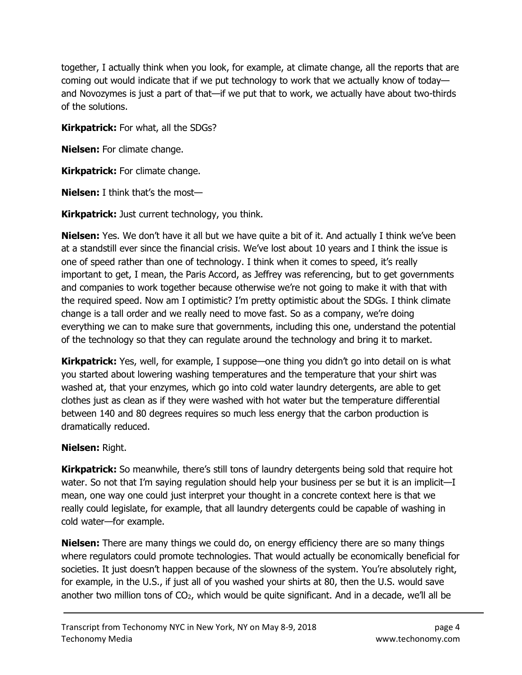together, I actually think when you look, for example, at climate change, all the reports that are coming out would indicate that if we put technology to work that we actually know of today and Novozymes is just a part of that—if we put that to work, we actually have about two-thirds of the solutions.

Kirkpatrick: For what, all the SDGs?

Nielsen: For climate change.

**Kirkpatrick:** For climate change.

Nielsen: I think that's the most—

**Kirkpatrick:** Just current technology, you think.

**Nielsen:** Yes. We don't have it all but we have quite a bit of it. And actually I think we've been at a standstill ever since the financial crisis. We've lost about 10 years and I think the issue is one of speed rather than one of technology. I think when it comes to speed, it's really important to get, I mean, the Paris Accord, as Jeffrey was referencing, but to get governments and companies to work together because otherwise we're not going to make it with that with the required speed. Now am I optimistic? I'm pretty optimistic about the SDGs. I think climate change is a tall order and we really need to move fast. So as a company, we're doing everything we can to make sure that governments, including this one, understand the potential of the technology so that they can regulate around the technology and bring it to market.

**Kirkpatrick:** Yes, well, for example, I suppose—one thing you didn't go into detail on is what you started about lowering washing temperatures and the temperature that your shirt was washed at, that your enzymes, which go into cold water laundry detergents, are able to get clothes just as clean as if they were washed with hot water but the temperature differential between 140 and 80 degrees requires so much less energy that the carbon production is dramatically reduced.

# Nielsen: Right.

**Kirkpatrick:** So meanwhile, there's still tons of laundry detergents being sold that require hot water. So not that I'm saying regulation should help your business per se but it is an implicit-I mean, one way one could just interpret your thought in a concrete context here is that we really could legislate, for example, that all laundry detergents could be capable of washing in cold water—for example.

**Nielsen:** There are many things we could do, on energy efficiency there are so many things where regulators could promote technologies. That would actually be economically beneficial for societies. It just doesn't happen because of the slowness of the system. You're absolutely right, for example, in the U.S., if just all of you washed your shirts at 80, then the U.S. would save another two million tons of  $CO<sub>2</sub>$ , which would be quite significant. And in a decade, we'll all be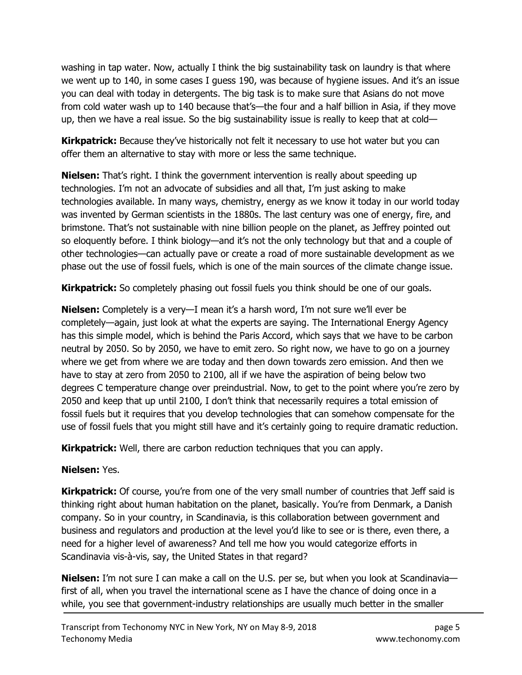washing in tap water. Now, actually I think the big sustainability task on laundry is that where we went up to 140, in some cases I guess 190, was because of hygiene issues. And it's an issue you can deal with today in detergents. The big task is to make sure that Asians do not move from cold water wash up to 140 because that's—the four and a half billion in Asia, if they move up, then we have a real issue. So the big sustainability issue is really to keep that at cold—

**Kirkpatrick:** Because they've historically not felt it necessary to use hot water but you can offer them an alternative to stay with more or less the same technique.

**Nielsen:** That's right. I think the government intervention is really about speeding up technologies. I'm not an advocate of subsidies and all that, I'm just asking to make technologies available. In many ways, chemistry, energy as we know it today in our world today was invented by German scientists in the 1880s. The last century was one of energy, fire, and brimstone. That's not sustainable with nine billion people on the planet, as Jeffrey pointed out so eloquently before. I think biology—and it's not the only technology but that and a couple of other technologies—can actually pave or create a road of more sustainable development as we phase out the use of fossil fuels, which is one of the main sources of the climate change issue.

**Kirkpatrick:** So completely phasing out fossil fuels you think should be one of our goals.

Nielsen: Completely is a very—I mean it's a harsh word, I'm not sure we'll ever be completely—again, just look at what the experts are saying. The International Energy Agency has this simple model, which is behind the Paris Accord, which says that we have to be carbon neutral by 2050. So by 2050, we have to emit zero. So right now, we have to go on a journey where we get from where we are today and then down towards zero emission. And then we have to stay at zero from 2050 to 2100, all if we have the aspiration of being below two degrees C temperature change over preindustrial. Now, to get to the point where you're zero by 2050 and keep that up until 2100, I don't think that necessarily requires a total emission of fossil fuels but it requires that you develop technologies that can somehow compensate for the use of fossil fuels that you might still have and it's certainly going to require dramatic reduction.

**Kirkpatrick:** Well, there are carbon reduction techniques that you can apply.

# Nielsen: Yes.

Kirkpatrick: Of course, you're from one of the very small number of countries that Jeff said is thinking right about human habitation on the planet, basically. You're from Denmark, a Danish company. So in your country, in Scandinavia, is this collaboration between government and business and regulators and production at the level you'd like to see or is there, even there, a need for a higher level of awareness? And tell me how you would categorize efforts in Scandinavia vis-à-vis, say, the United States in that regard?

**Nielsen:** I'm not sure I can make a call on the U.S. per se, but when you look at Scandinavia first of all, when you travel the international scene as I have the chance of doing once in a while, you see that government-industry relationships are usually much better in the smaller